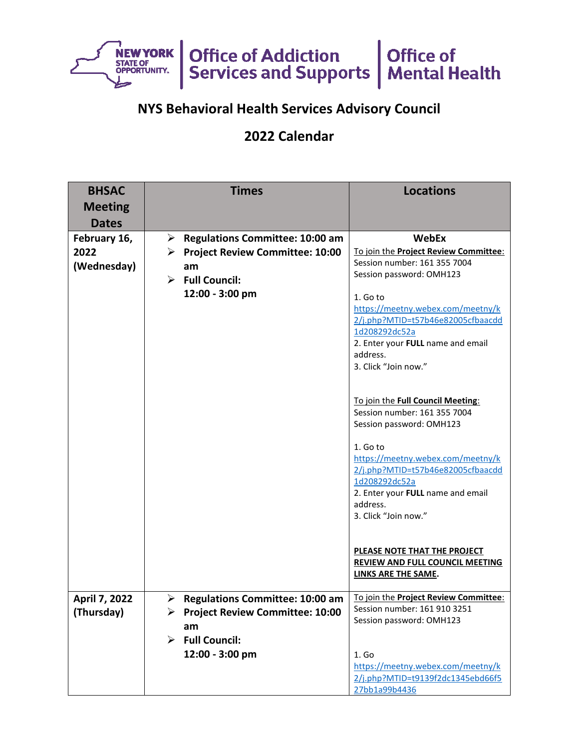

## **NYS Behavioral Health Services Advisory Council**

## **2022 Calendar**

| <b>BHSAC</b>                        | <b>Times</b>                                                                                     | <b>Locations</b>                                                                                                                                                             |
|-------------------------------------|--------------------------------------------------------------------------------------------------|------------------------------------------------------------------------------------------------------------------------------------------------------------------------------|
| <b>Meeting</b>                      |                                                                                                  |                                                                                                                                                                              |
| <b>Dates</b>                        |                                                                                                  |                                                                                                                                                                              |
| February 16,<br>2022<br>(Wednesday) | <b>Regulations Committee: 10:00 am</b><br>➤<br><b>Project Review Committee: 10:00</b><br>➤<br>am | <b>WebEx</b><br>To join the Project Review Committee:<br>Session number: 161 355 7004                                                                                        |
|                                     | <b>Full Council:</b><br>➤<br>12:00 - 3:00 pm                                                     | Session password: OMH123<br>1. Go to                                                                                                                                         |
|                                     |                                                                                                  | https://meetny.webex.com/meetny/k<br>2/j.php?MTID=t57b46e82005cfbaacdd<br>1d208292dc52a<br>2. Enter your FULL name and email<br>address.<br>3. Click "Join now."             |
|                                     |                                                                                                  | To join the Full Council Meeting:<br>Session number: 161 355 7004<br>Session password: OMH123                                                                                |
|                                     |                                                                                                  | 1. Go to<br>https://meetny.webex.com/meetny/k<br>2/j.php?MTID=t57b46e82005cfbaacdd<br>1d208292dc52a<br>2. Enter your FULL name and email<br>address.<br>3. Click "Join now." |
|                                     |                                                                                                  | PLEASE NOTE THAT THE PROJECT<br><b>REVIEW AND FULL COUNCIL MEETING</b><br>LINKS ARE THE SAME.                                                                                |
| April 7, 2022<br>(Thursday)         | $\triangleright$ Regulations Committee: 10:00 am<br>▶ Project Review Committee: 10:00            | To join the Project Review Committee:<br>Session number: 161 910 3251                                                                                                        |
|                                     | am                                                                                               | Session password: OMH123                                                                                                                                                     |
|                                     | $\triangleright$ Full Council:                                                                   |                                                                                                                                                                              |
|                                     | 12:00 - 3:00 pm                                                                                  | 1. Go<br>https://meetny.webex.com/meetny/k<br>2/j.php?MTID=t9139f2dc1345ebd66f5                                                                                              |
|                                     |                                                                                                  | 27bb1a99b4436                                                                                                                                                                |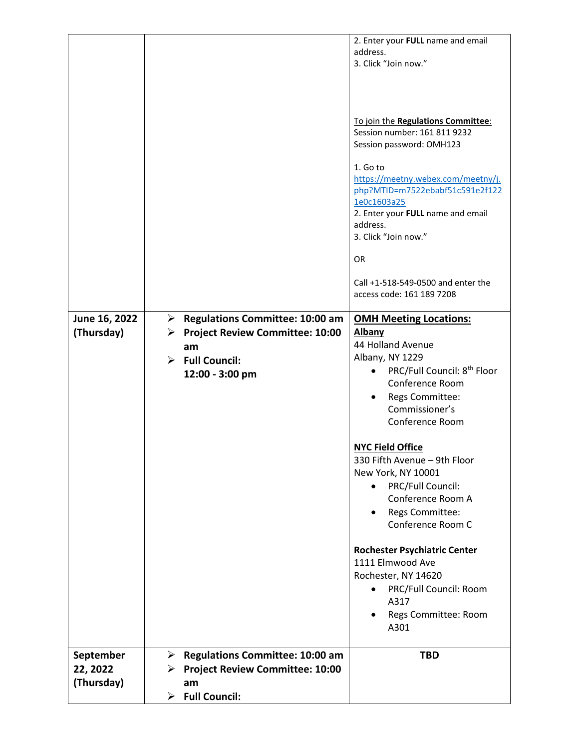|                                     |                                                                                                                                             | 2. Enter your FULL name and email<br>address.<br>3. Click "Join now."<br>To join the Regulations Committee:<br>Session number: 161 811 9232<br>Session password: OMH123<br>1. Go to<br>https://meetny.webex.com/meetny/j.<br>php?MTID=m7522ebabf51c591e2f122<br>1e0c1603a25<br>2. Enter your FULL name and email<br>address.<br>3. Click "Join now."<br><b>OR</b><br>Call +1-518-549-0500 and enter the<br>access code: 161 189 7208                                                                                                                                |
|-------------------------------------|---------------------------------------------------------------------------------------------------------------------------------------------|---------------------------------------------------------------------------------------------------------------------------------------------------------------------------------------------------------------------------------------------------------------------------------------------------------------------------------------------------------------------------------------------------------------------------------------------------------------------------------------------------------------------------------------------------------------------|
| June 16, 2022<br>(Thursday)         | <b>Regulations Committee: 10:00 am</b><br>➤<br>▶ Project Review Committee: 10:00<br>am<br>$\triangleright$ Full Council:<br>12:00 - 3:00 pm | <b>OMH Meeting Locations:</b><br>Albany<br>44 Holland Avenue<br>Albany, NY 1229<br>PRC/Full Council: 8 <sup>th</sup> Floor<br>$\bullet$<br>Conference Room<br>Regs Committee:<br>Commissioner's<br>Conference Room<br><b>NYC Field Office</b><br>330 Fifth Avenue – 9th Floor<br>New York, NY 10001<br>PRC/Full Council:<br>Conference Room A<br>Regs Committee:<br>$\bullet$<br>Conference Room C<br><b>Rochester Psychiatric Center</b><br>1111 Elmwood Ave<br>Rochester, NY 14620<br>PRC/Full Council: Room<br>A317<br>Regs Committee: Room<br>$\bullet$<br>A301 |
| September<br>22, 2022<br>(Thursday) | $\triangleright$ Regulations Committee: 10:00 am<br>▶ Project Review Committee: 10:00<br>am<br>$\triangleright$ Full Council:               | <b>TBD</b>                                                                                                                                                                                                                                                                                                                                                                                                                                                                                                                                                          |